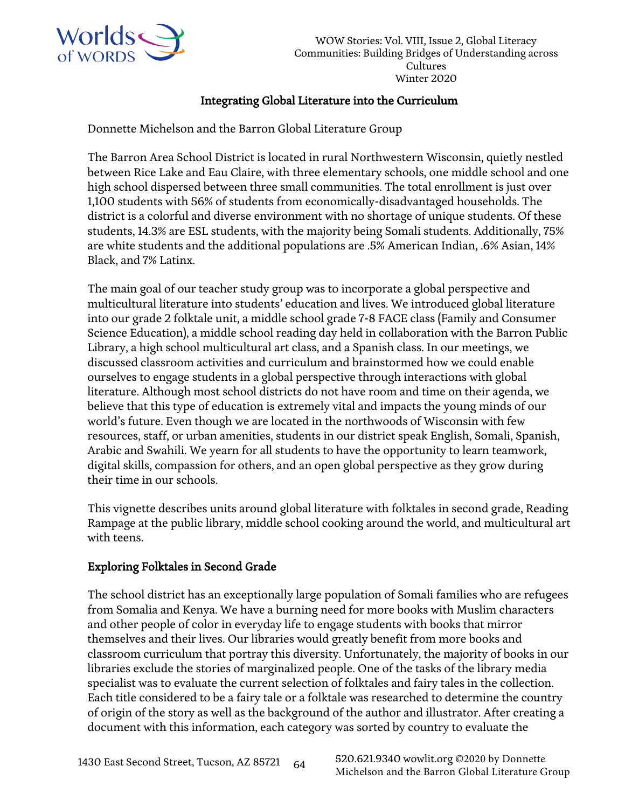

## Integrating Global Literature into the Curriculum

Donnette Michelson and the Barron Global Literature Group

The Barron Area School District is located in rural Northwestern Wisconsin, quietly nestled between Rice Lake and Eau Claire, with three elementary schools, one middle school and one high school dispersed between three small communities. The total enrollment is just over 1,100 students with 56% of students from economically-disadvantaged households. The district is a colorful and diverse environment with no shortage of unique students. Of these students, 14.3% are ESL students, with the majority being Somali students. Additionally, 75% are white students and the additional populations are .5% American Indian, .6% Asian, 14% Black, and 7% Latinx.

The main goal of our teacher study group was to incorporate a global perspective and multicultural literature into students' education and lives. We introduced global literature into our grade 2 folktale unit, a middle school grade 7-8 FACE class (Family and Consumer Science Education), a middle school reading day held in collaboration with the Barron Public Library, a high school multicultural art class, and a Spanish class. In our meetings, we discussed classroom activities and curriculum and brainstormed how we could enable ourselves to engage students in a global perspective through interactions with global literature. Although most school districts do not have room and time on their agenda, we believe that this type of education is extremely vital and impacts the young minds of our world's future. Even though we are located in the northwoods of Wisconsin with few resources, staff, or urban amenities, students in our district speak English, Somali, Spanish, Arabic and Swahili. We yearn for all students to have the opportunity to learn teamwork, digital skills, compassion for others, and an open global perspective as they grow during their time in our schools.

This vignette describes units around global literature with folktales in second grade, Reading Rampage at the public library, middle school cooking around the world, and multicultural art with teens.

# Exploring Folktales in Second Grade

The school district has an exceptionally large population of Somali families who are refugees from Somalia and Kenya. We have a burning need for more books with Muslim characters and other people of color in everyday life to engage students with books that mirror themselves and their lives. Our libraries would greatly benefit from more books and classroom curriculum that portray this diversity. Unfortunately, the majority of books in our libraries exclude the stories of marginalized people. One of the tasks of the library media specialist was to evaluate the current selection of folktales and fairy tales in the collection. Each title considered to be a fairy tale or a folktale was researched to determine the country of origin of the story as well as the background of the author and illustrator. After creating a document with this information, each category was sorted by country to evaluate the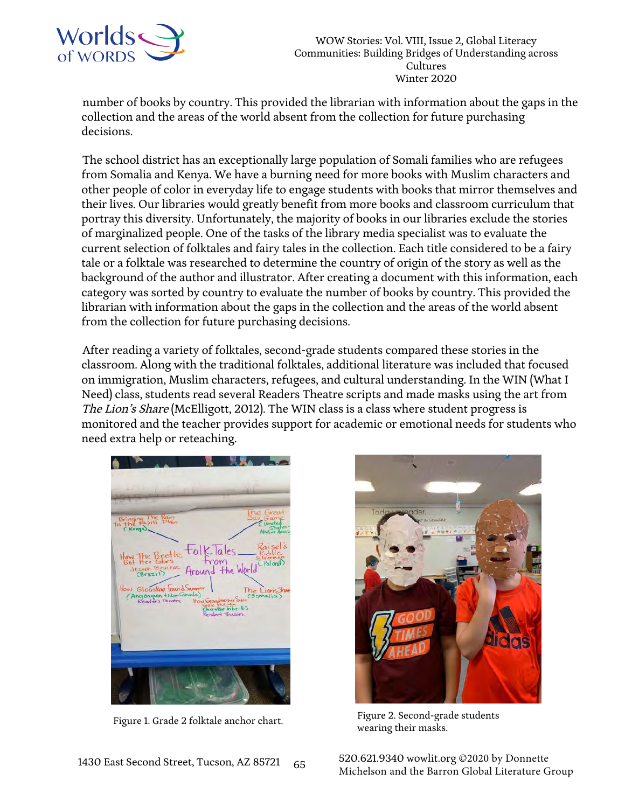

number of books by country. This provided the librarian with information about the gaps in the collection and the areas of the world absent from the collection for future purchasing decisions.

The school district has an exceptionally large population of Somali families who are refugees from Somalia and Kenya. We have a burning need for more books with Muslim characters and other people of color in everyday life to engage students with books that mirror themselves and their lives. Our libraries would greatly benefit from more books and classroom curriculum that portray this diversity. Unfortunately, the majority of books in our libraries exclude the stories of marginalized people. One of the tasks of the library media specialist was to evaluate the current selection of folktales and fairy tales in the collection. Each title considered to be a fairy tale or a folktale was researched to determine the country of origin of the story as well as the background of the author and illustrator. After creating a document with this information, each category was sorted by country to evaluate the number of books by country. This provided the librarian with information about the gaps in the collection and the areas of the world absent from the collection for future purchasing decisions.

After reading a variety of folktales, second-grade students compared these stories in the classroom. Along with the traditional folktales, additional literature was included that focused on immigration, Muslim characters, refugees, and cultural understanding. In the WIN (What I Need) class, students read several Readers Theatre scripts and made masks using the art from The Lion's Share (McElligott, 2012). The WIN class is a class where student progress is monitored and the teacher provides support for academic or emotional needs for students who need extra help or reteaching.

**KAA** ч. Bringing The Rain<br>to the Papiti Plain<br>(Kompa) tolk lales Around the Worl How Glooskap found Sum<br>(Angonquin the Canada)<br>Readers Theatre H  $k = 0.5$ 



Figure 1. Grade 2 folktale anchor chart. Figure 2. Second-grade students wearing their masks.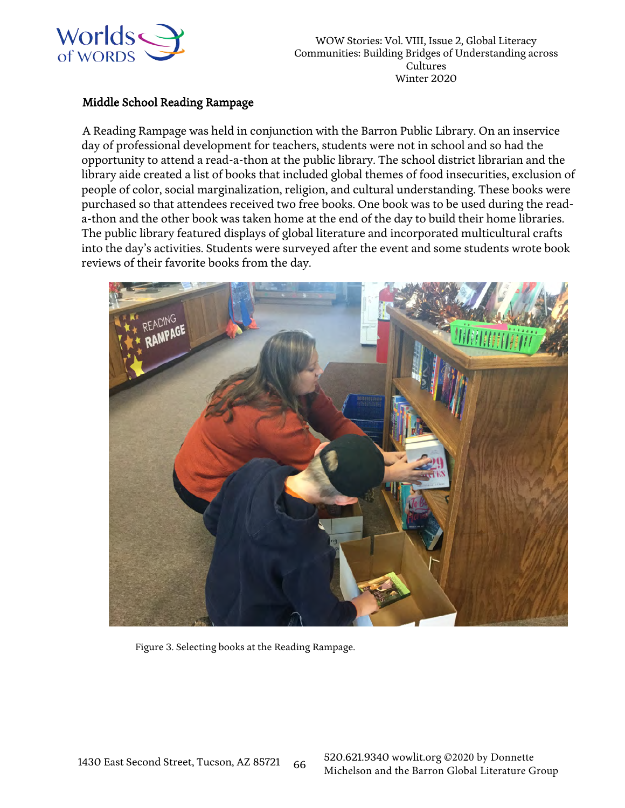

#### Middle School Reading Rampage

A Reading Rampage was held in conjunction with the Barron Public Library. On an inservice day of professional development for teachers, students were not in school and so had the opportunity to attend a read-a-thon at the public library. The school district librarian and the library aide created a list of books that included global themes of food insecurities, exclusion of people of color, social marginalization, religion, and cultural understanding. These books were purchased so that attendees received two free books. One book was to be used during the reada-thon and the other book was taken home at the end of the day to build their home libraries. The public library featured displays of global literature and incorporated multicultural crafts into the day's activities. Students were surveyed after the event and some students wrote book reviews of their favorite books from the day.



Figure 3. Selecting books at the Reading Rampage.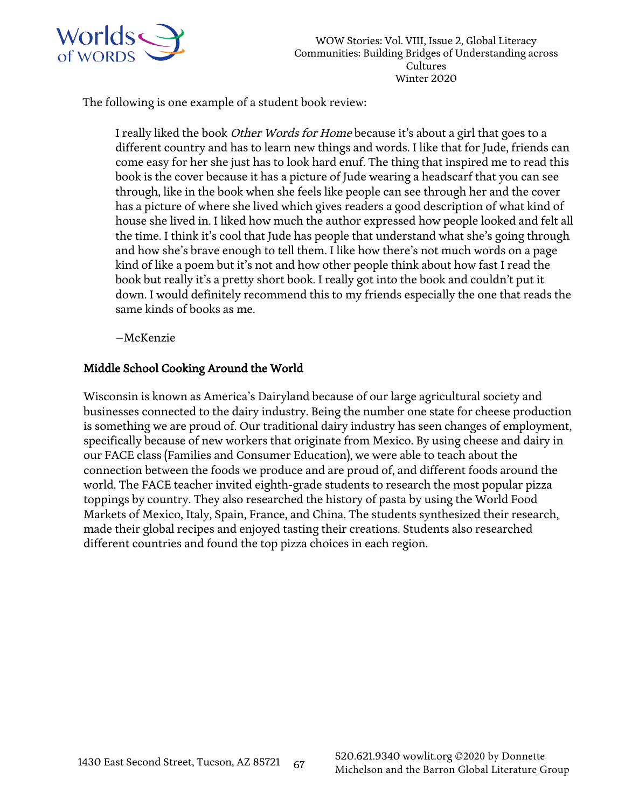

The following is one example of a student book review:

I really liked the book Other Words for Home because it's about a girl that goes to a different country and has to learn new things and words. I like that for Jude, friends can come easy for her she just has to look hard enuf. The thing that inspired me to read this book is the cover because it has a picture of Jude wearing a headscarf that you can see through, like in the book when she feels like people can see through her and the cover has a picture of where she lived which gives readers a good description of what kind of house she lived in. I liked how much the author expressed how people looked and felt all the time. I think it's cool that Jude has people that understand what she's going through and how she's brave enough to tell them. I like how there's not much words on a page kind of like a poem but it's not and how other people think about how fast I read the book but really it's a pretty short book. I really got into the book and couldn't put it down. I would definitely recommend this to my friends especially the one that reads the same kinds of books as me.

–McKenzie

## Middle School Cooking Around the World

Wisconsin is known as America's Dairyland because of our large agricultural society and businesses connected to the dairy industry. Being the number one state for cheese production is something we are proud of. Our traditional dairy industry has seen changes of employment, specifically because of new workers that originate from Mexico. By using cheese and dairy in our FACE class (Families and Consumer Education), we were able to teach about the connection between the foods we produce and are proud of, and different foods around the world. The FACE teacher invited eighth-grade students to research the most popular pizza toppings by country. They also researched the history of pasta by using the World Food Markets of Mexico, Italy, Spain, France, and China. The students synthesized their research, made their global recipes and enjoyed tasting their creations. Students also researched different countries and found the top pizza choices in each region.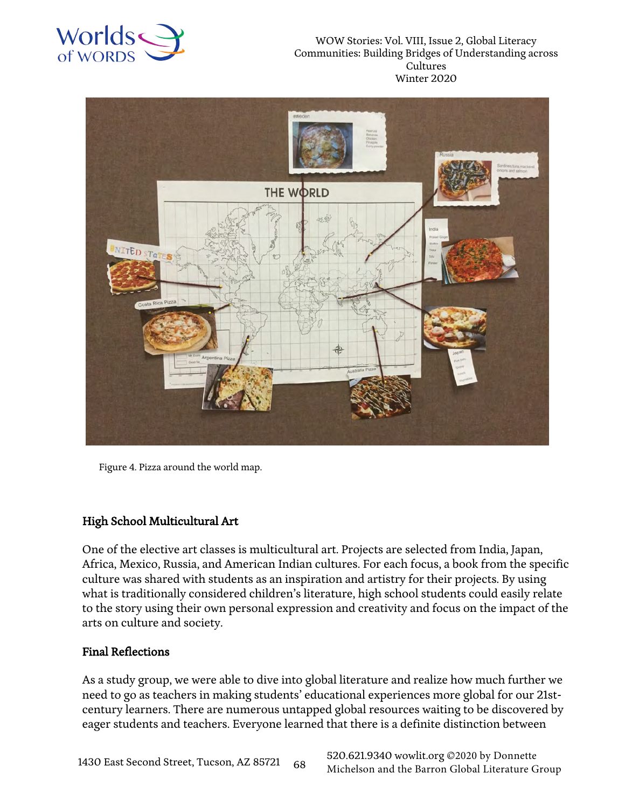



Figure 4. Pizza around the world map.

### High School Multicultural Art

One of the elective art classes is multicultural art. Projects are selected from India, Japan, Africa, Mexico, Russia, and American Indian cultures. For each focus, a book from the specific culture was shared with students as an inspiration and artistry for their projects. By using what is traditionally considered children's literature, high school students could easily relate to the story using their own personal expression and creativity and focus on the impact of the arts on culture and society.

#### Final Reflections

As a study group, we were able to dive into global literature and realize how much further we need to go as teachers in making students' educational experiences more global for our 21stcentury learners. There are numerous untapped global resources waiting to be discovered by eager students and teachers. Everyone learned that there is a definite distinction between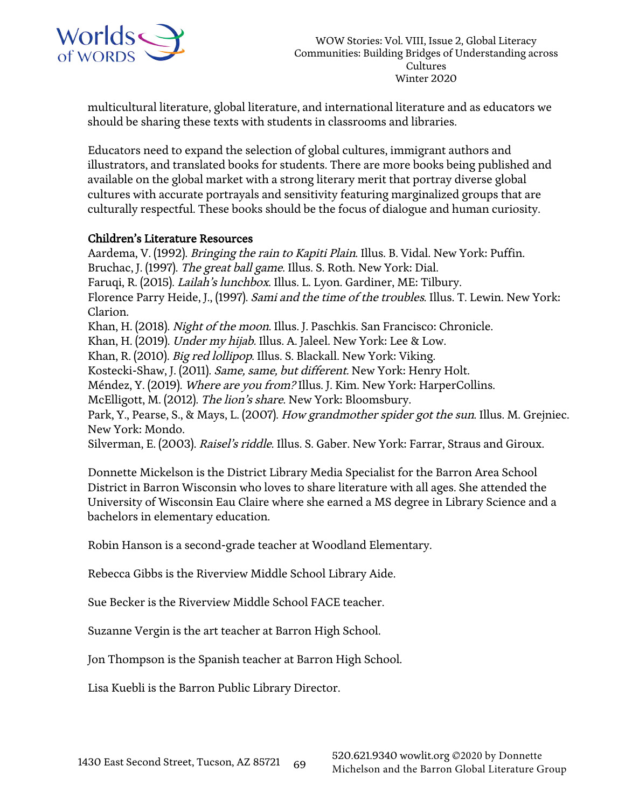

multicultural literature, global literature, and international literature and as educators we should be sharing these texts with students in classrooms and libraries.

Educators need to expand the selection of global cultures, immigrant authors and illustrators, and translated books for students. There are more books being published and available on the global market with a strong literary merit that portray diverse global cultures with accurate portrayals and sensitivity featuring marginalized groups that are culturally respectful. These books should be the focus of dialogue and human curiosity.

### Children's Literature Resources

Aardema, V. (1992). Bringing the rain to Kapiti Plain. Illus. B. Vidal. New York: Puffin. Bruchac, J. (1997). The great ball game. Illus. S. Roth. New York: Dial. Faruqi, R. (2015). Lailah's lunchbox. Illus. L. Lyon. Gardiner, ME: Tilbury. Florence Parry Heide, J., (1997). Sami and the time of the troubles. Illus. T. Lewin. New York: Clarion. Khan, H. (2018). Night of the moon. Illus. J. Paschkis. San Francisco: Chronicle. Khan, H. (2019). Under my hijab. Illus. A. Jaleel. New York: Lee & Low. Khan, R. (2010). Big red lollipop. Illus. S. Blackall. New York: Viking. Kostecki-Shaw, J. (2011). Same, same, but different. New York: Henry Holt. Méndez, Y. (2019). Where are you from? Illus. J. Kim. New York: HarperCollins. McElligott, M. (2012). The lion's share. New York: Bloomsbury. Park, Y., Pearse, S., & Mays, L. (2007). How grandmother spider got the sun. Illus. M. Grejniec. New York: Mondo. Silverman, E. (2003). Raisel's riddle. Illus. S. Gaber. New York: Farrar, Straus and Giroux.

Donnette Mickelson is the District Library Media Specialist for the Barron Area School District in Barron Wisconsin who loves to share literature with all ages. She attended the University of Wisconsin Eau Claire where she earned a MS degree in Library Science and a bachelors in elementary education.

Robin Hanson is a second-grade teacher at Woodland Elementary.

Rebecca Gibbs is the Riverview Middle School Library Aide.

Sue Becker is the Riverview Middle School FACE teacher.

Suzanne Vergin is the art teacher at Barron High School.

Jon Thompson is the Spanish teacher at Barron High School.

Lisa Kuebli is the Barron Public Library Director.